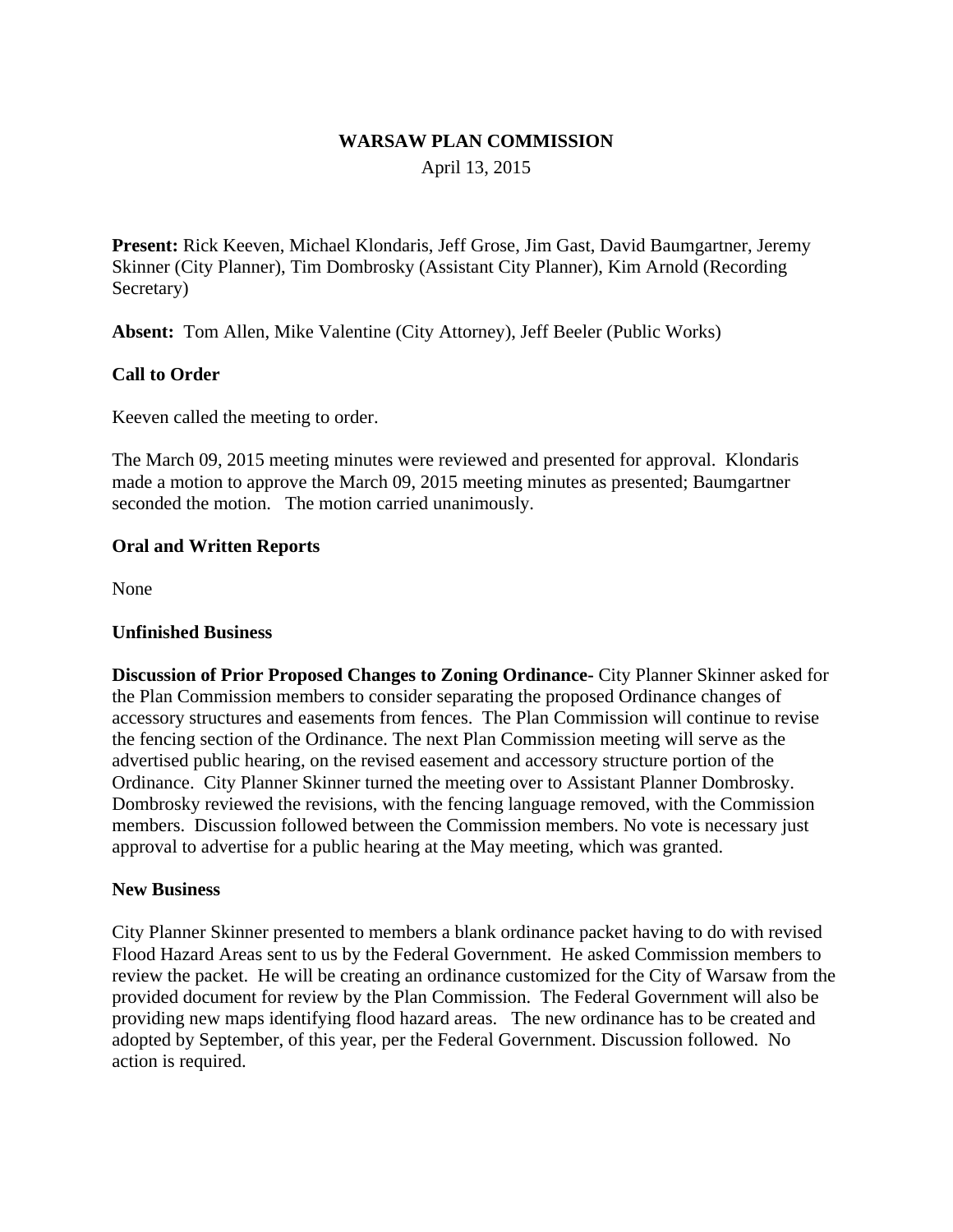# **WARSAW PLAN COMMISSION** April 13, 2015

**Present:** Rick Keeven, Michael Klondaris, Jeff Grose, Jim Gast, David Baumgartner, Jeremy Skinner (City Planner), Tim Dombrosky (Assistant City Planner), Kim Arnold (Recording Secretary)

**Absent:** Tom Allen, Mike Valentine (City Attorney), Jeff Beeler (Public Works)

### **Call to Order**

Keeven called the meeting to order.

The March 09, 2015 meeting minutes were reviewed and presented for approval. Klondaris made a motion to approve the March 09, 2015 meeting minutes as presented; Baumgartner seconded the motion. The motion carried unanimously.

### **Oral and Written Reports**

None

### **Unfinished Business**

**Discussion of Prior Proposed Changes to Zoning Ordinance-** City Planner Skinner asked for the Plan Commission members to consider separating the proposed Ordinance changes of accessory structures and easements from fences. The Plan Commission will continue to revise the fencing section of the Ordinance. The next Plan Commission meeting will serve as the advertised public hearing, on the revised easement and accessory structure portion of the Ordinance. City Planner Skinner turned the meeting over to Assistant Planner Dombrosky. Dombrosky reviewed the revisions, with the fencing language removed, with the Commission members. Discussion followed between the Commission members. No vote is necessary just approval to advertise for a public hearing at the May meeting, which was granted.

#### **New Business**

City Planner Skinner presented to members a blank ordinance packet having to do with revised Flood Hazard Areas sent to us by the Federal Government. He asked Commission members to review the packet. He will be creating an ordinance customized for the City of Warsaw from the provided document for review by the Plan Commission. The Federal Government will also be providing new maps identifying flood hazard areas. The new ordinance has to be created and adopted by September, of this year, per the Federal Government. Discussion followed. No action is required.